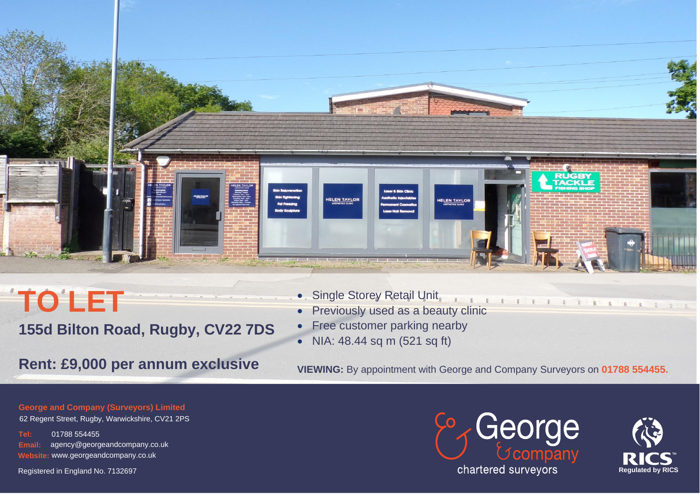

# **TO LET 155d Bilton Road, Rugby, CV22 7DS**

- Single Storey Retail Unit
- 11779111111111 **Previously used as a beauty clinic**
- Free customer parking nearby
- NIA: 48.44 sq m (521 sq ft)

## **Rent: £9,000 per annum exclusive VIEWING: By appointment with George and Company Surveyors on 01788 554455.**

**George and Company (Surveyors) Limited** 

62 Regent Street, Rugby, Warwickshire, CV21 2PS

**Tel:** 01788 554455 **Email:** agency@georgeandcompany.co.uk **Website:** www.georgeandcompany.co.uk

Registered in England No. 7132697





ARODA